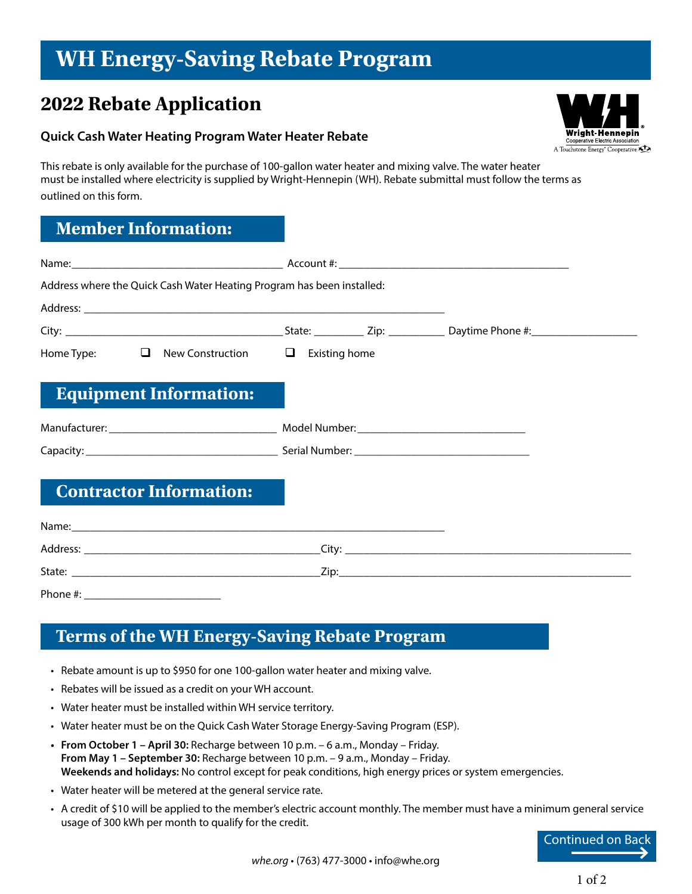# **WH Energy-Saving Rebate Program**

## **2022 Rebate Application**

#### **Quick Cash Water Heating Program Water Heater Rebate**

This rebate is only available for the purchase of 100-gallon water heater and mixing valve. The water heater must be installed where electricity is supplied by Wright-Hennepin (WH). Rebate submittal must follow the terms as outlined on this form.

#### **Member Information:**

| Address where the Quick Cash Water Heating Program has been installed: |  |
|------------------------------------------------------------------------|--|
|                                                                        |  |
|                                                                        |  |
| Home Type: $\Box$ New Construction $\Box$ Existing home                |  |
| <b>Equipment Information:</b>                                          |  |
|                                                                        |  |
|                                                                        |  |
| <b>Contractor Information:</b>                                         |  |
|                                                                        |  |
|                                                                        |  |
|                                                                        |  |
| Phone #:                                                               |  |

### **Terms of the WH Energy-Saving Rebate Program**

- Rebate amount is up to \$950 for one 100-gallon water heater and mixing valve.
- Rebates will be issued as a credit on your WH account.
- Water heater must be installed within WH service territory.
- Water heater must be on the Quick Cash Water Storage Energy-Saving Program (ESP).
- **• From October 1 April 30:** Recharge between 10 p.m. 6 a.m., Monday Friday. **From May 1 – September 30:** Recharge between 10 p.m. – 9 a.m., Monday – Friday. **Weekends and holidays:** No control except for peak conditions, high energy prices or system emergencies.
- Water heater will be metered at the general service rate.
- A credit of \$10 will be applied to the member's electric account monthly. The member must have a minimum general service usage of 300 kWh per month to qualify for the credit.